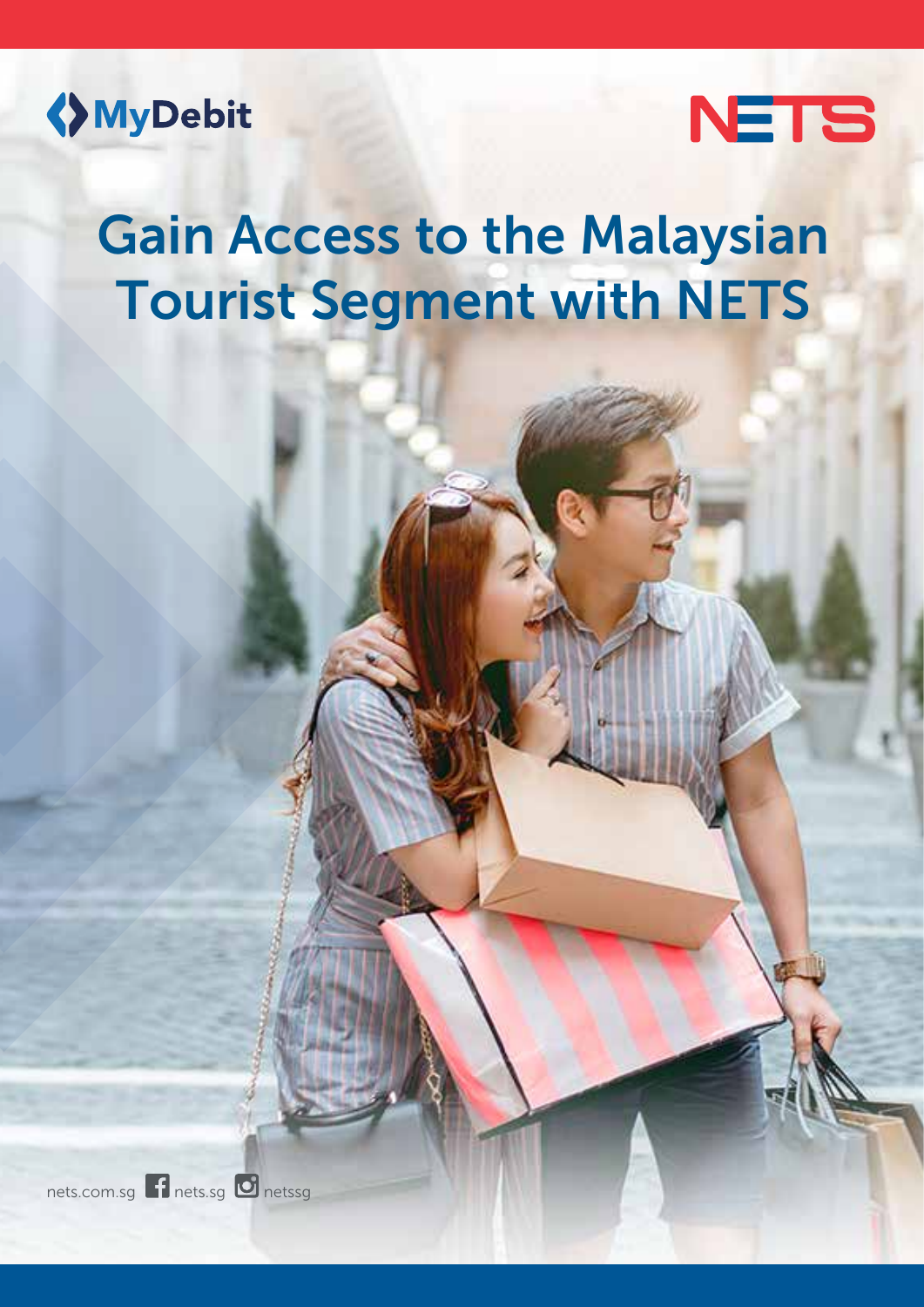



# Gain Access to the Malaysian Tourist Segment with NETS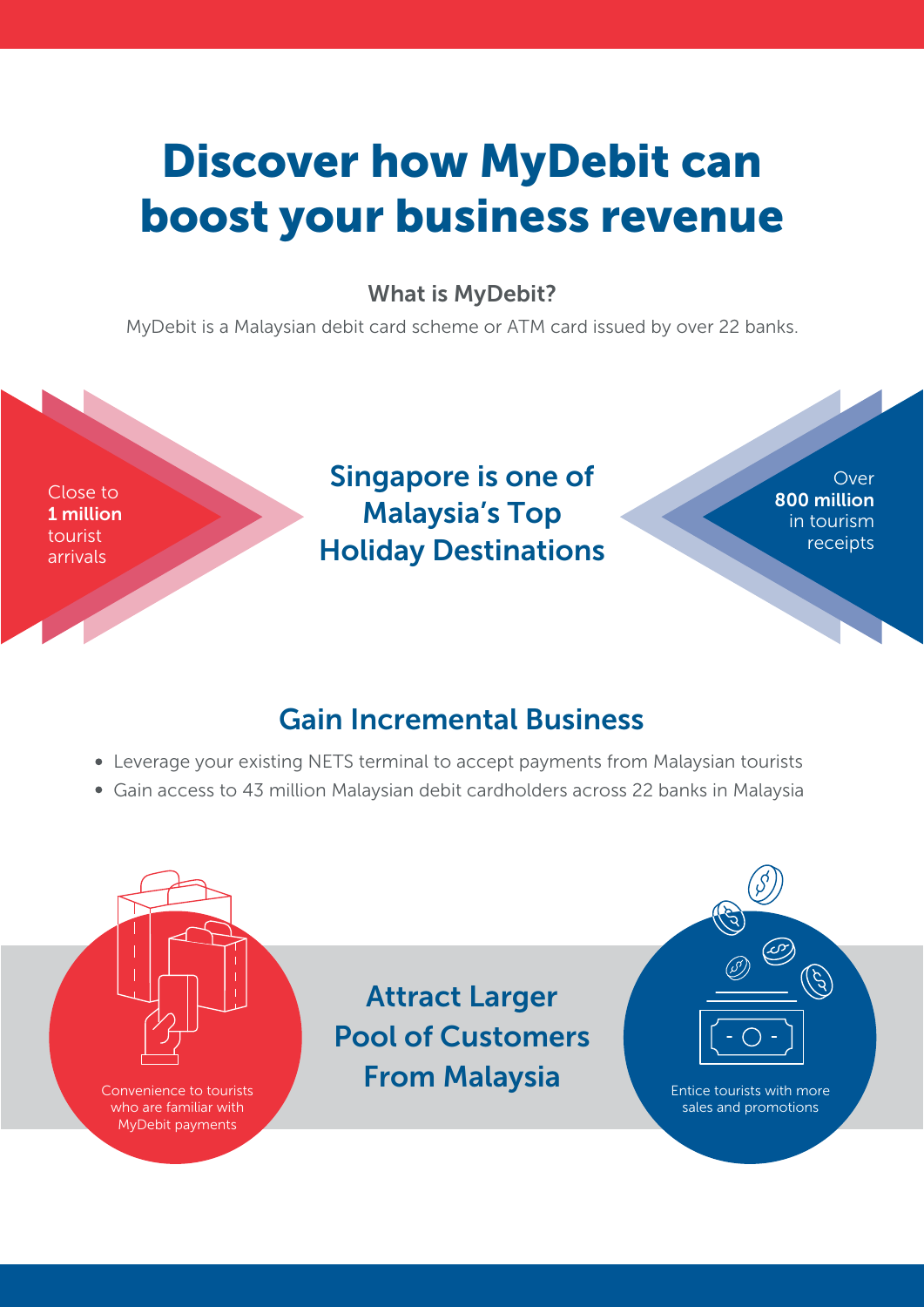## Discover how MyDebit can boost your business revenue

#### What is MyDebit?

MyDebit is a Malaysian debit card scheme or ATM card issued by over 22 banks.

Close to 1 million tourist arrivals

## Singapore is one of Malaysia's Top Holiday Destinations

Over 800 million in tourism receipts

### Gain Incremental Business

- Leverage your existing NETS terminal to accept payments from Malaysian tourists
- Gain access to 43 million Malaysian debit cardholders across 22 banks in Malaysia

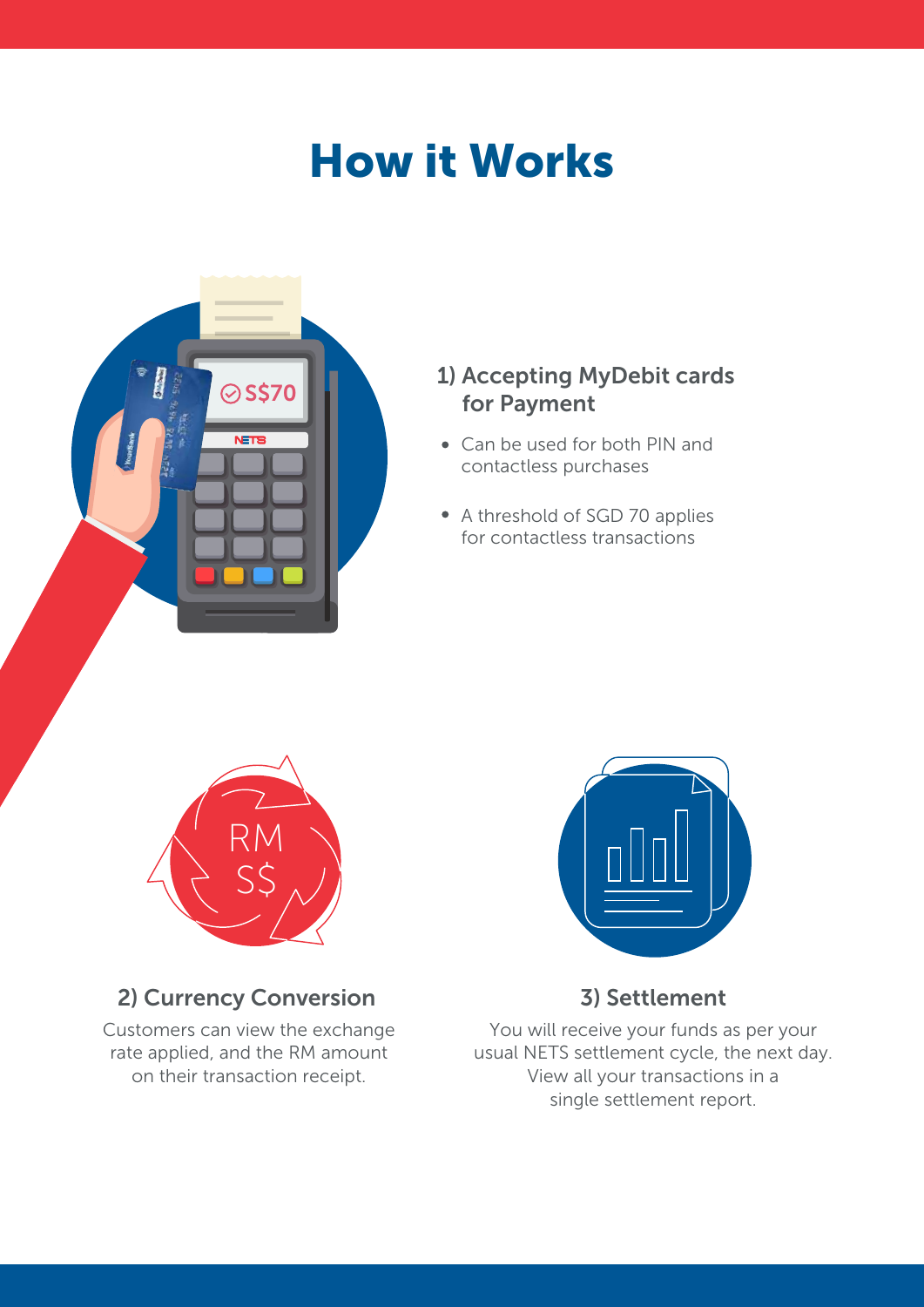## How it Works



#### 1) Accepting MyDebit cards for Payment

- Can be used for both PIN and contactless purchases
- A threshold of SGD 70 applies for contactless transactions



### 2) Currency Conversion

Customers can view the exchange rate applied, and the RM amount on their transaction receipt.



#### 3) Settlement

You will receive your funds as per your usual NETS settlement cycle, the next day. View all your transactions in a single settlement report.